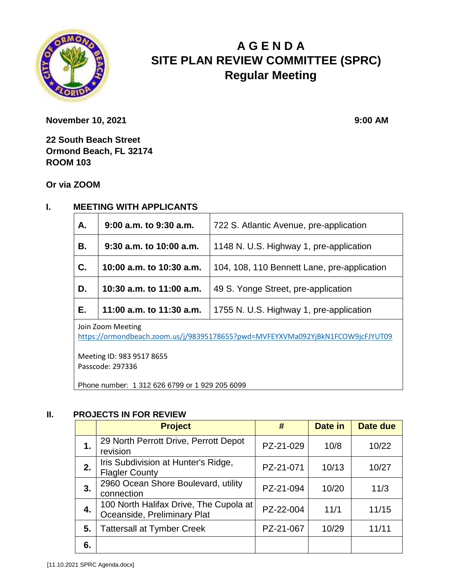

# **A G E N D A SITE PLAN REVIEW COMMITTEE (SPRC) Regular Meeting**

**November 10, 2021** 9:00 **AM** 

**22 South Beach Street Ormond Beach, FL 32174 ROOM 103**

**Or via ZOOM**

#### **I. MEETING WITH APPLICANTS**

| <b>A.</b>         | $9:00$ a.m. to $9:30$ a.m. | 722 S. Atlantic Avenue, pre-application     |  |  |
|-------------------|----------------------------|---------------------------------------------|--|--|
| <b>B.</b>         | $9:30$ a.m. to 10:00 a.m.  | 1148 N. U.S. Highway 1, pre-application     |  |  |
| C.                | 10:00 a.m. to 10:30 a.m.   | 104, 108, 110 Bennett Lane, pre-application |  |  |
| D.                | 10:30 a.m. to 11:00 a.m.   | 49 S. Yonge Street, pre-application         |  |  |
| E.                | 11:00 a.m. to 11:30 a.m.   | 1755 N. U.S. Highway 1, pre-application     |  |  |
| Join Zoom Meeting |                            |                                             |  |  |

Join Zoom Meeting

<https://ormondbeach.zoom.us/j/98395178655?pwd=MVFEYXVMa092YjBkN1FCOW9jcFJYUT09>

Meeting ID: 983 9517 8655 Passcode: 297336

Phone number: 1 312 626 6799 or 1 929 205 6099

#### **II. PROJECTS IN FOR REVIEW**

|    | <b>Project</b>                                                        | #         | Date in | Date due |
|----|-----------------------------------------------------------------------|-----------|---------|----------|
| 1. | 29 North Perrott Drive, Perrott Depot<br>revision                     | PZ-21-029 | 10/8    | 10/22    |
| 2. | Iris Subdivision at Hunter's Ridge,<br><b>Flagler County</b>          | PZ-21-071 | 10/13   | 10/27    |
| 3. | 2960 Ocean Shore Boulevard, utility<br>connection                     | PZ-21-094 | 10/20   | 11/3     |
| 4. | 100 North Halifax Drive, The Cupola at<br>Oceanside, Preliminary Plat | PZ-22-004 | 11/1    | 11/15    |
| 5. | <b>Tattersall at Tymber Creek</b>                                     | PZ-21-067 | 10/29   | 11/11    |
| 6. |                                                                       |           |         |          |